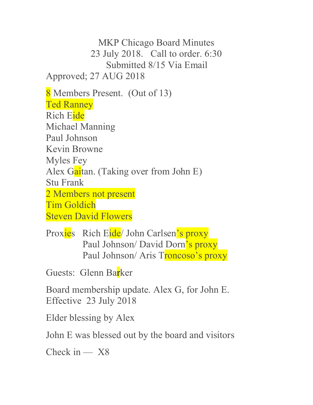MKP Chicago Board Minutes 23 July 2018. Call to order. 6:30 Submitted 8/15 Via Email Approved; 27 AUG 2018 8 Members Present. (Out of 13) Ted Ranney Rich Eide Michael Manning Paul Johnson Kevin Browne Myles Fey Alex Gaitan. (Taking over from John E) Stu Frank 2 Members not present Tim Goldich Steven David Flowers

Proxies Rich Eide/ John Carlsen's proxy Paul Johnson/ David Dorn's proxy Paul Johnson/ Aris Troncoso's proxy

Guests: Glenn Barker

Board membership update. Alex G, for John E. Effective 23 July 2018

Elder blessing by Alex

John E was blessed out by the board and visitors

Check in  $- X8$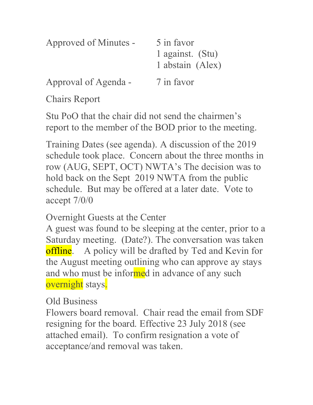| Approved of Minutes - | 5 in favor<br>1 against. (Stu)<br>1 abstain (Alex) |
|-----------------------|----------------------------------------------------|
| Approval of Agenda -  | 7 in favor                                         |

Chairs Report

Stu PoO that the chair did not send the chairmen's report to the member of the BOD prior to the meeting.

Training Dates (see agenda). A discussion of the 2019 schedule took place. Concern about the three months in row (AUG, SEPT, OCT) NWTA's The decision was to hold back on the Sept 2019 NWTA from the public schedule. But may be offered at a later date. Vote to accept 7/0/0

Overnight Guests at the Center

A guest was found to be sleeping at the center, prior to a Saturday meeting. (Date?). The conversation was taken **offline.** A policy will be drafted by Ted and Kevin for the August meeting outlining who can approve ay stays and who must be informed in advance of any such overnight stays.

Old Business

Flowers board removal. Chair read the email from SDF resigning for the board. Effective 23 July 2018 (see attached email). To confirm resignation a vote of acceptance/and removal was taken.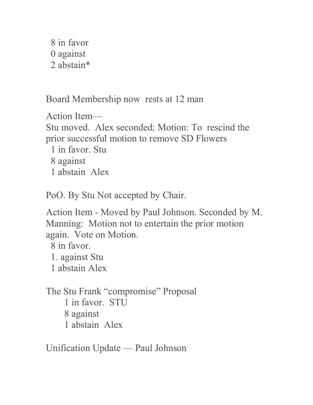8 in favor 0 against 2 abstain\*

Board Membership now rests at 12 man

Action Item— Stu moved. Alex seconded; Motion: To rescind the prior successful motion to remove SD Flowers 1 in favor. Stu

8 against

1 abstain Alex

PoO. By Stu Not accepted by Chair.

Action Item - Moved by Paul Johnson. Seconded by M. Manning: Motion not to entertain the prior motion again. Vote on Motion.

8 in favor. 1. against Stu

1 abstain Alex

The Stu Frank "compromise" Proposal 1 in favor. STU 8 against 1 abstain Alex

Unification Update — Paul Johnson